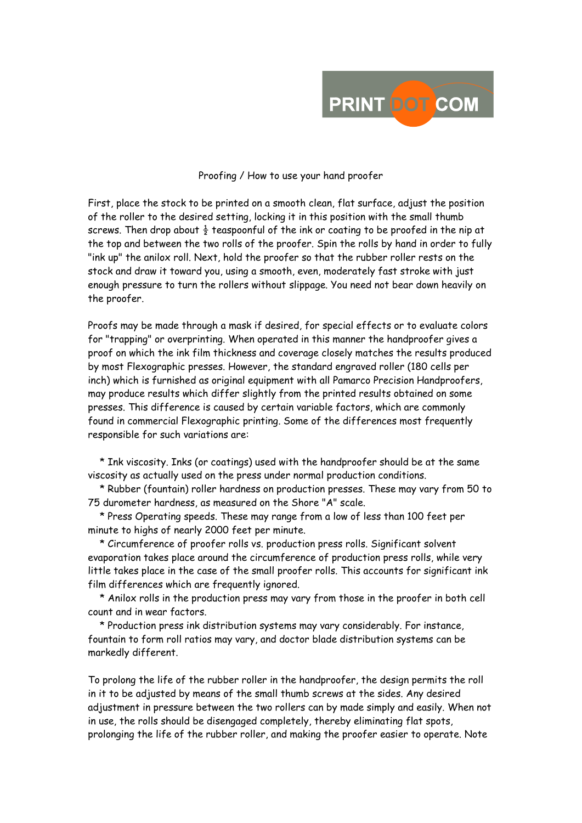

## Proofing / How to use your hand proofer

First, place the stock to be printed on a smooth clean, flat surface, adjust the position of the roller to the desired setting, locking it in this position with the small thumb screws. Then drop about  $\frac{1}{2}$  teaspoonful of the ink or coating to be proofed in the nip at the top and between the two rolls of the proofer. Spin the rolls by hand in order to fully "ink up" the anilox roll. Next, hold the proofer so that the rubber roller rests on the stock and draw it toward you, using a smooth, even, moderately fast stroke with just enough pressure to turn the rollers without slippage. You need not bear down heavily on the proofer.

Proofs may be made through a mask if desired, for special effects or to evaluate colors for "trapping" or overprinting. When operated in this manner the handproofer gives a proof on which the ink film thickness and coverage closely matches the results produced by most Flexographic presses. However, the standard engraved roller (180 cells per inch) which is furnished as original equipment with all Pamarco Precision Handproofers, may produce results which differ slightly from the printed results obtained on some presses. This difference is caused by certain variable factors, which are commonly found in commercial Flexographic printing. Some of the differences most frequently responsible for such variations are:

 \* Ink viscosity. Inks (or coatings) used with the handproofer should be at the same viscosity as actually used on the press under normal production conditions.

 \* Rubber (fountain) roller hardness on production presses. These may vary from 50 to 75 durometer hardness, as measured on the Shore "A" scale.

 \* Press Operating speeds. These may range from a low of less than 100 feet per minute to highs of nearly 2000 feet per minute.

 \* Circumference of proofer rolls vs. production press rolls. Significant solvent evaporation takes place around the circumference of production press rolls, while very little takes place in the case of the small proofer rolls. This accounts for significant ink film differences which are frequently ignored.

 \* Anilox rolls in the production press may vary from those in the proofer in both cell count and in wear factors.

 \* Production press ink distribution systems may vary considerably. For instance, fountain to form roll ratios may vary, and doctor blade distribution systems can be markedly different.

To prolong the life of the rubber roller in the handproofer, the design permits the roll in it to be adjusted by means of the small thumb screws at the sides. Any desired adjustment in pressure between the two rollers can by made simply and easily. When not in use, the rolls should be disengaged completely, thereby eliminating flat spots, prolonging the life of the rubber roller, and making the proofer easier to operate. Note